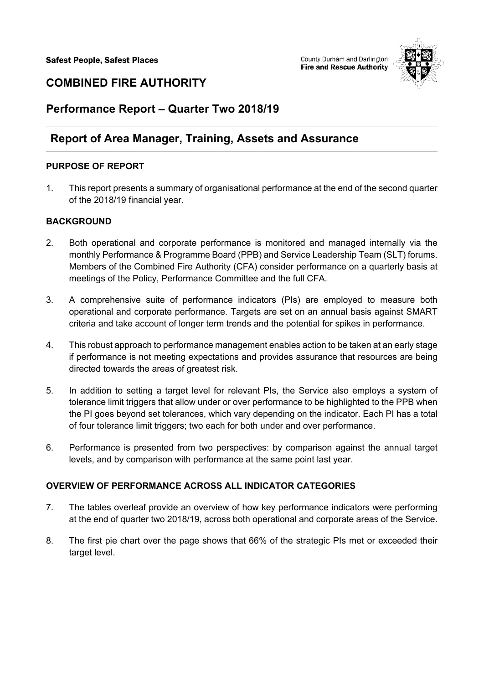

# **COMBINED FIRE AUTHORITY**

# **Performance Report – Quarter Two 2018/19**

# **Report of Area Manager, Training, Assets and Assurance**

## **PURPOSE OF REPORT**

1. This report presents a summary of organisational performance at the end of the second quarter of the 2018/19 financial year.

## **BACKGROUND**

- 2. Both operational and corporate performance is monitored and managed internally via the monthly Performance & Programme Board (PPB) and Service Leadership Team (SLT) forums. Members of the Combined Fire Authority (CFA) consider performance on a quarterly basis at meetings of the Policy, Performance Committee and the full CFA.
- 3. A comprehensive suite of performance indicators (PIs) are employed to measure both operational and corporate performance. Targets are set on an annual basis against SMART criteria and take account of longer term trends and the potential for spikes in performance.
- 4. This robust approach to performance management enables action to be taken at an early stage if performance is not meeting expectations and provides assurance that resources are being directed towards the areas of greatest risk.
- 5. In addition to setting a target level for relevant PIs, the Service also employs a system of tolerance limit triggers that allow under or over performance to be highlighted to the PPB when the PI goes beyond set tolerances, which vary depending on the indicator. Each PI has a total of four tolerance limit triggers; two each for both under and over performance.
- 6. Performance is presented from two perspectives: by comparison against the annual target levels, and by comparison with performance at the same point last year.

## **OVERVIEW OF PERFORMANCE ACROSS ALL INDICATOR CATEGORIES**

- 7. The tables overleaf provide an overview of how key performance indicators were performing at the end of quarter two 2018/19, across both operational and corporate areas of the Service.
- 8. The first pie chart over the page shows that 66% of the strategic PIs met or exceeded their target level.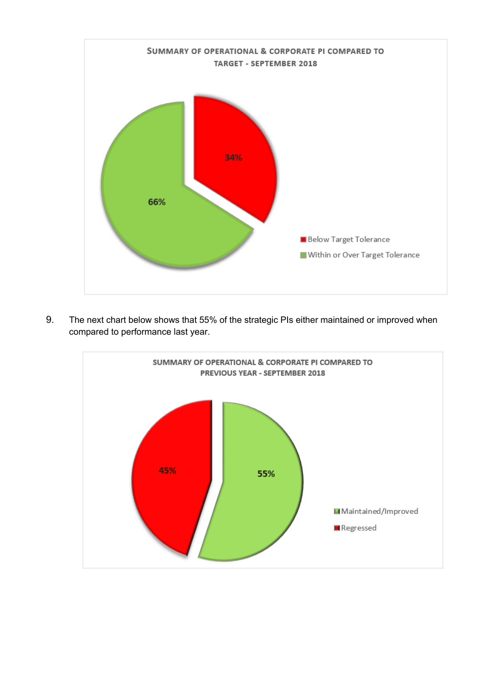

9. The next chart below shows that 55% of the strategic PIs either maintained or improved when compared to performance last year.

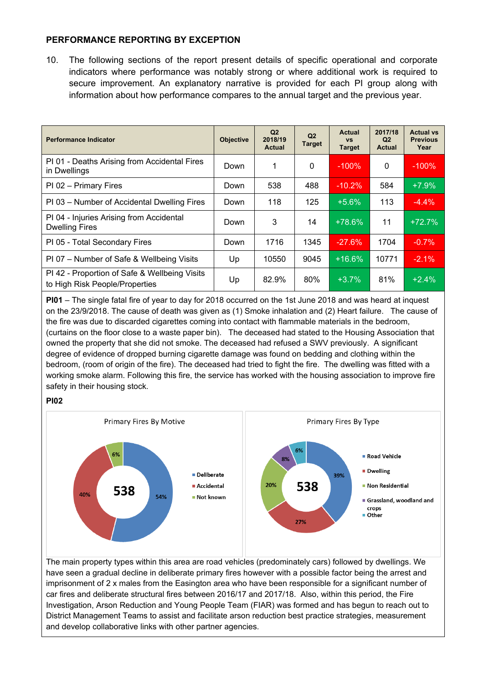## **PERFORMANCE REPORTING BY EXCEPTION**

10. The following sections of the report present details of specific operational and corporate indicators where performance was notably strong or where additional work is required to secure improvement. An explanatory narrative is provided for each PI group along with information about how performance compares to the annual target and the previous year.

| <b>Performance Indicator</b>                                                    | <b>Objective</b> | Q2<br>2018/19<br>Actual | Q <sub>2</sub><br><b>Target</b> | Actual<br><b>VS</b><br><b>Target</b> | 2017/18<br>Q2<br><b>Actual</b> | <b>Actual vs</b><br><b>Previous</b><br>Year |
|---------------------------------------------------------------------------------|------------------|-------------------------|---------------------------------|--------------------------------------|--------------------------------|---------------------------------------------|
| PI 01 - Deaths Arising from Accidental Fires<br>in Dwellings                    | Down             | 1                       | 0                               | $-100%$                              | 0                              | $-100%$                                     |
| PI 02 - Primary Fires                                                           | Down             | 538                     | 488                             | $-10.2%$                             | 584                            | $+7.9%$                                     |
| PI 03 – Number of Accidental Dwelling Fires                                     | Down             | 118                     | 125                             | $+5.6%$                              | 113                            | $-4.4%$                                     |
| PI 04 - Injuries Arising from Accidental<br><b>Dwelling Fires</b>               | Down             | 3                       | 14                              | $+78.6\%$                            | 11                             | $+72.7%$                                    |
| PI 05 - Total Secondary Fires                                                   | Down             | 1716                    | 1345                            | $-27.6%$                             | 1704                           | $-0.7%$                                     |
| PI 07 – Number of Safe & Wellbeing Visits                                       | Up               | 10550                   | 9045                            | $+16.6%$                             | 10771                          | $-2.1%$                                     |
| PI 42 - Proportion of Safe & Wellbeing Visits<br>to High Risk People/Properties | Up               | 82.9%                   | 80%                             | $+3.7%$                              | 81%                            | $+2.4%$                                     |

**PI01** – The single fatal fire of year to day for 2018 occurred on the 1st June 2018 and was heard at inquest on the 23/9/2018. The cause of death was given as (1) Smoke inhalation and (2) Heart failure. The cause of the fire was due to discarded cigarettes coming into contact with flammable materials in the bedroom, (curtains on the floor close to a waste paper bin). The deceased had stated to the Housing Association that owned the property that she did not smoke. The deceased had refused a SWV previously. A significant degree of evidence of dropped burning cigarette damage was found on bedding and clothing within the bedroom, (room of origin of the fire). The deceased had tried to fight the fire. The dwelling was fitted with a working smoke alarm. Following this fire, the service has worked with the housing association to improve fire safety in their housing stock.

#### **PI02**



The main property types within this area are road vehicles (predominately cars) followed by dwellings. We have seen a gradual decline in deliberate primary fires however with a possible factor being the arrest and imprisonment of 2 x males from the Easington area who have been responsible for a significant number of car fires and deliberate structural fires between 2016/17 and 2017/18. Also, within this period, the Fire Investigation, Arson Reduction and Young People Team (FIAR) was formed and has begun to reach out to District Management Teams to assist and facilitate arson reduction best practice strategies, measurement and develop collaborative links with other partner agencies.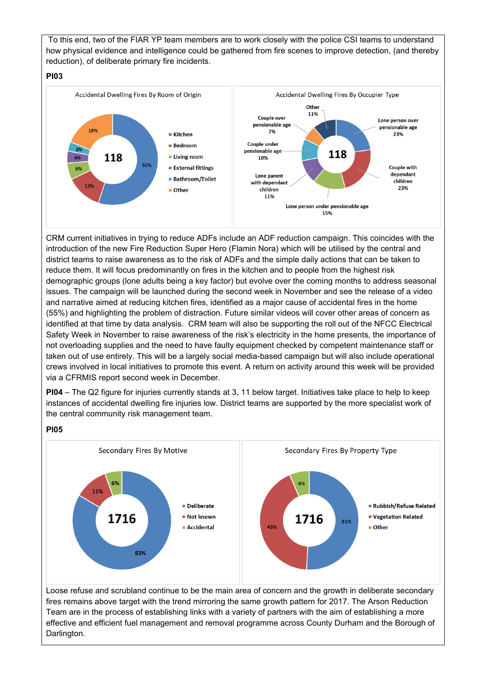To this end, two of the FIAR YP team members are to work closely with the police CSI teams to understand how physical evidence and intelligence could be gathered from fire scenes to improve detection, (and thereby reduction), of deliberate primary fire incidents.

#### **PI03**



CRM current initiatives in trying to reduce ADFs include an ADF reduction campaign. This coincides with the introduction of the new Fire Reduction Super Hero (Flamin Nora) which will be utilised by the central and district teams to raise awareness as to the risk of ADFs and the simple daily actions that can be taken to reduce them. It will focus predominantly on fires in the kitchen and to people from the highest risk demographic groups (lone adults being a key factor) but evolve over the coming months to address seasonal issues. The campaign will be launched during the second week in November and see the release of a video and narrative aimed at reducing kitchen fires, identified as a major cause of accidental fires in the home (55%) and highlighting the problem of distraction. Future similar videos will cover other areas of concern as identified at that time by data analysis. CRM team will also be supporting the roll out of the NFCC Electrical Safety Week in November to raise awareness of the risk's electricity in the home presents, the importance of not overloading supplies and the need to have faulty equipment checked by competent maintenance staff or taken out of use entirely. This will be a largely social media-based campaign but will also include operational crews involved in local initiatives to promote this event. A return on activity around this week will be provided via a CFRMIS report second week in December.

**PI04** – The Q2 figure for injuries currently stands at 3, 11 below target. Initiatives take place to help to keep instances of accidental dwelling fire injuries low. District teams are supported by the more specialist work of the central community risk management team.

### **PI05**

Darlington.



effective and efficient fuel management and removal programme across County Durham and the Borough of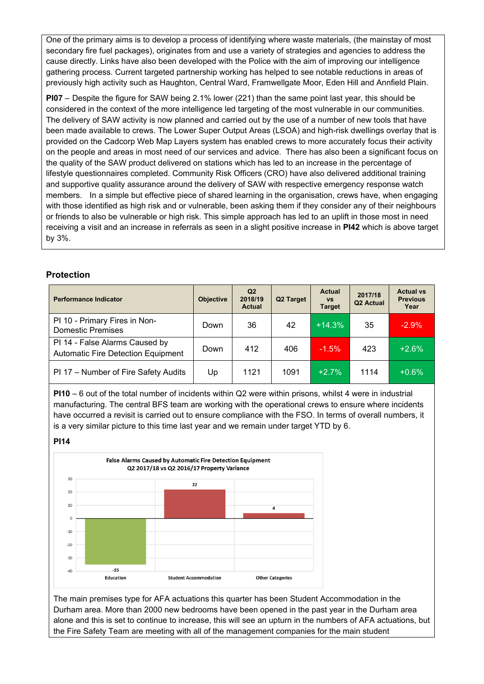One of the primary aims is to develop a process of identifying where waste materials, (the mainstay of most secondary fire fuel packages), originates from and use a variety of strategies and agencies to address the cause directly. Links have also been developed with the Police with the aim of improving our intelligence gathering process. Current targeted partnership working has helped to see notable reductions in areas of previously high activity such as Haughton, Central Ward, Framwellgate Moor, Eden Hill and Annfield Plain.

**PI07** – Despite the figure for SAW being 2.1% lower (221) than the same point last year, this should be considered in the context of the more intelligence led targeting of the most vulnerable in our communities. The delivery of SAW activity is now planned and carried out by the use of a number of new tools that have been made available to crews. The Lower Super Output Areas (LSOA) and high-risk dwellings overlay that is provided on the Cadcorp Web Map Layers system has enabled crews to more accurately focus their activity on the people and areas in most need of our services and advice. There has also been a significant focus on the quality of the SAW product delivered on stations which has led to an increase in the percentage of lifestyle questionnaires completed. Community Risk Officers (CRO) have also delivered additional training and supportive quality assurance around the delivery of SAW with respective emergency response watch members. In a simple but effective piece of shared learning in the organisation, crews have, when engaging with those identified as high risk and or vulnerable, been asking them if they consider any of their neighbours or friends to also be vulnerable or high risk. This simple approach has led to an uplift in those most in need receiving a visit and an increase in referrals as seen in a slight positive increase in **PI42** which is above target by 3%.

### **Protection**

| <b>Performance Indicator</b>                                                | <b>Objective</b> | Q2<br>2018/19<br><b>Actual</b> | Q <sub>2</sub> Target | <b>Actual</b><br><b>VS</b><br><b>Target</b> | 2017/18<br>Q <sub>2</sub> Actual | <b>Actual vs</b><br><b>Previous</b><br>Year |
|-----------------------------------------------------------------------------|------------------|--------------------------------|-----------------------|---------------------------------------------|----------------------------------|---------------------------------------------|
| PI 10 - Primary Fires in Non-<br><b>Domestic Premises</b>                   | Down             | 36                             | 42                    | $+14.3%$                                    | 35                               | $-2.9%$                                     |
| PI 14 - False Alarms Caused by<br><b>Automatic Fire Detection Equipment</b> | Down             | 412                            | 406                   | $-1.5%$                                     | 423                              | $+2.6%$                                     |
| PI 17 - Number of Fire Safety Audits                                        | Up               | 1121                           | 1091                  | $+2.7%$                                     | 1114                             | $+0.6%$                                     |

**PI10** – 6 out of the total number of incidents within Q2 were within prisons, whilst 4 were in industrial manufacturing. The central BFS team are working with the operational crews to ensure where incidents have occurred a revisit is carried out to ensure compliance with the FSO. In terms of overall numbers, it is a very similar picture to this time last year and we remain under target YTD by 6.

#### **PI14**



The main premises type for AFA actuations this quarter has been Student Accommodation in the Durham area. More than 2000 new bedrooms have been opened in the past year in the Durham area alone and this is set to continue to increase, this will see an upturn in the numbers of AFA actuations, but the Fire Safety Team are meeting with all of the management companies for the main student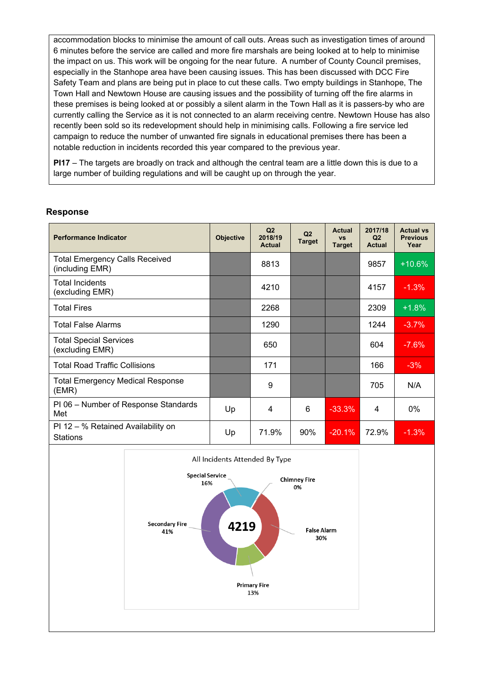accommodation blocks to minimise the amount of call outs. Areas such as investigation times of around 6 minutes before the service are called and more fire marshals are being looked at to help to minimise the impact on us. This work will be ongoing for the near future. A number of County Council premises, especially in the Stanhope area have been causing issues. This has been discussed with DCC Fire Safety Team and plans are being put in place to cut these calls. Two empty buildings in Stanhope, The Town Hall and Newtown House are causing issues and the possibility of turning off the fire alarms in these premises is being looked at or possibly a silent alarm in the Town Hall as it is passers-by who are currently calling the Service as it is not connected to an alarm receiving centre. Newtown House has also recently been sold so its redevelopment should help in minimising calls. Following a fire service led campaign to reduce the number of unwanted fire signals in educational premises there has been a notable reduction in incidents recorded this year compared to the previous year.

**PI17** – The targets are broadly on track and although the central team are a little down this is due to a large number of building regulations and will be caught up on through the year.

#### **Response**

| <b>Performance Indicator</b>                             | <b>Objective</b> | Q <sub>2</sub><br>2018/19<br>Actual | Q2<br><b>Target</b> | <b>Actual</b><br><b>VS</b><br><b>Target</b> | 2017/18<br>Q <sub>2</sub><br><b>Actual</b> | <b>Actual vs</b><br><b>Previous</b><br>Year |
|----------------------------------------------------------|------------------|-------------------------------------|---------------------|---------------------------------------------|--------------------------------------------|---------------------------------------------|
| <b>Total Emergency Calls Received</b><br>(including EMR) |                  | 8813                                |                     |                                             | 9857                                       | $+10.6%$                                    |
| <b>Total Incidents</b><br>(excluding EMR)                |                  | 4210                                |                     |                                             | 4157                                       | $-1.3%$                                     |
| <b>Total Fires</b>                                       |                  | 2268                                |                     |                                             | 2309                                       | $+1.8%$                                     |
| <b>Total False Alarms</b>                                |                  | 1290                                |                     |                                             | 1244                                       | $-3.7%$                                     |
| <b>Total Special Services</b><br>(excluding EMR)         |                  | 650                                 |                     |                                             | 604                                        | $-7.6%$                                     |
| <b>Total Road Traffic Collisions</b>                     |                  | 171                                 |                     |                                             | 166                                        | $-3%$                                       |
| <b>Total Emergency Medical Response</b><br>(EMR)         |                  | 9                                   |                     |                                             | 705                                        | N/A                                         |
| PI 06 - Number of Response Standards<br>Met              | Up               | 4                                   | 6                   | $-33.3%$                                    | 4                                          | $0\%$                                       |
| PI 12 – % Retained Availability on<br>Stations           | Up               | 71.9%                               | $90\%$              | $-20.1%$                                    | 72.9%                                      | $-1.3%$                                     |

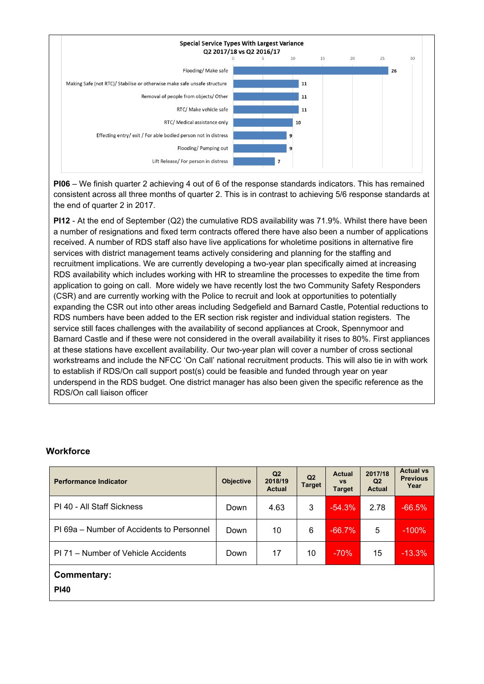

**PI06** – We finish quarter 2 achieving 4 out of 6 of the response standards indicators. This has remained consistent across all three months of quarter 2. This is in contrast to achieving 5/6 response standards at the end of quarter 2 in 2017.

**PI12** - At the end of September (Q2) the cumulative RDS availability was 71.9%. Whilst there have been a number of resignations and fixed term contracts offered there have also been a number of applications received. A number of RDS staff also have live applications for wholetime positions in alternative fire services with district management teams actively considering and planning for the staffing and recruitment implications. We are currently developing a two-year plan specifically aimed at increasing RDS availability which includes working with HR to streamline the processes to expedite the time from application to going on call. More widely we have recently lost the two Community Safety Responders (CSR) and are currently working with the Police to recruit and look at opportunities to potentially expanding the CSR out into other areas including Sedgefield and Barnard Castle, Potential reductions to RDS numbers have been added to the ER section risk register and individual station registers. The service still faces challenges with the availability of second appliances at Crook, Spennymoor and Barnard Castle and if these were not considered in the overall availability it rises to 80%. First appliances at these stations have excellent availability. Our two-year plan will cover a number of cross sectional workstreams and include the NFCC 'On Call' national recruitment products. This will also tie in with work to establish if RDS/On call support post(s) could be feasible and funded through year on year underspend in the RDS budget. One district manager has also been given the specific reference as the RDS/On call liaison officer

### **Workforce**

| <b>Performance Indicator</b>              | <b>Objective</b> | Q <sub>2</sub><br>2018/19<br><b>Actual</b> | Q <sub>2</sub><br><b>Target</b> | <b>Actual</b><br><b>VS</b><br><b>Target</b> | 2017/18<br>Q <sub>2</sub><br><b>Actual</b> | <b>Actual vs</b><br><b>Previous</b><br>Year |
|-------------------------------------------|------------------|--------------------------------------------|---------------------------------|---------------------------------------------|--------------------------------------------|---------------------------------------------|
| PI 40 - All Staff Sickness                | Down             | 4.63                                       | 3                               | $-54.3%$                                    | 2.78                                       | $-66.5%$                                    |
| PI 69a – Number of Accidents to Personnel | Down             | 10                                         | 6                               | $-66.7%$                                    | 5                                          | $-100%$                                     |
| PI 71 – Number of Vehicle Accidents       | Down             | 17                                         | 10                              | $-70%$                                      | 15                                         | $-13.3\%$                                   |
| <b>Commentary:</b><br><b>PI40</b>         |                  |                                            |                                 |                                             |                                            |                                             |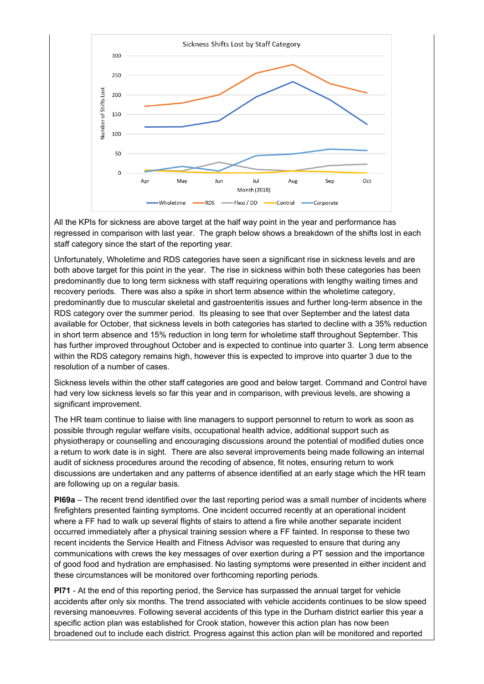

All the KPIs for sickness are above target at the half way point in the year and performance has regressed in comparison with last year. The graph below shows a breakdown of the shifts lost in each staff category since the start of the reporting year.

Unfortunately, Wholetime and RDS categories have seen a significant rise in sickness levels and are both above target for this point in the year. The rise in sickness within both these categories has been predominantly due to long term sickness with staff requiring operations with lengthy waiting times and recovery periods. There was also a spike in short term absence within the wholetime category, predominantly due to muscular skeletal and gastroenteritis issues and further long-term absence in the RDS category over the summer period. Its pleasing to see that over September and the latest data available for October, that sickness levels in both categories has started to decline with a 35% reduction in short term absence and 15% reduction in long term for wholetime staff throughout September. This has further improved throughout October and is expected to continue into quarter 3. Long term absence within the RDS category remains high, however this is expected to improve into quarter 3 due to the resolution of a number of cases.

Sickness levels within the other staff categories are good and below target. Command and Control have had very low sickness levels so far this year and in comparison, with previous levels, are showing a significant improvement.

The HR team continue to liaise with line managers to support personnel to return to work as soon as possible through regular welfare visits, occupational health advice, additional support such as physiotherapy or counselling and encouraging discussions around the potential of modified duties once a return to work date is in sight. There are also several improvements being made following an internal audit of sickness procedures around the recoding of absence, fit notes, ensuring return to work discussions are undertaken and any patterns of absence identified at an early stage which the HR team are following up on a regular basis.

**PI69a** – The recent trend identified over the last reporting period was a small number of incidents where firefighters presented fainting symptoms. One incident occurred recently at an operational incident where a FF had to walk up several flights of stairs to attend a fire while another separate incident occurred immediately after a physical training session where a FF fainted. In response to these two recent incidents the Service Health and Fitness Advisor was requested to ensure that during any communications with crews the key messages of over exertion during a PT session and the importance of good food and hydration are emphasised. No lasting symptoms were presented in either incident and these circumstances will be monitored over forthcoming reporting periods.

**PI71** - At the end of this reporting period, the Service has surpassed the annual target for vehicle accidents after only six months. The trend associated with vehicle accidents continues to be slow speed reversing manoeuvres. Following several accidents of this type in the Durham district earlier this year a specific action plan was established for Crook station, however this action plan has now been broadened out to include each district. Progress against this action plan will be monitored and reported